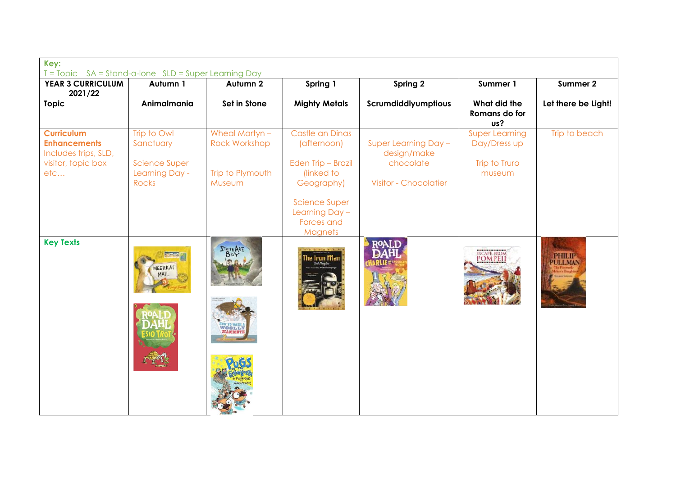| Key:<br>T = Topic SA = Stand-a-lone SLD = Super Learning Day                                  |                                                                             |                                                                      |                                                                                                                                                            |                                                                                  |                                                                  |                          |
|-----------------------------------------------------------------------------------------------|-----------------------------------------------------------------------------|----------------------------------------------------------------------|------------------------------------------------------------------------------------------------------------------------------------------------------------|----------------------------------------------------------------------------------|------------------------------------------------------------------|--------------------------|
| <b>YEAR 3 CURRICULUM</b><br>2021/22                                                           | Autumn 1                                                                    | Autumn 2                                                             | Spring 1                                                                                                                                                   | Spring 2                                                                         | Summer 1                                                         | Summer 2                 |
| <b>Topic</b>                                                                                  | Animalmania                                                                 | Set in Stone                                                         | <b>Mighty Metals</b>                                                                                                                                       | Scrumdiddlyumptious                                                              | What did the<br>Romans do for<br>us?                             | Let there be Light!      |
| <b>Curriculum</b><br><b>Enhancements</b><br>Includes trips, SLD,<br>visitor, topic box<br>etc | Trip to Owl<br>Sanctuary<br><b>Science Super</b><br>Learning Day -<br>Rocks | Wheal Martyn -<br><b>Rock Workshop</b><br>Trip to Plymouth<br>Museum | Castle an Dinas<br>(afternoon)<br>Eden Trip - Brazil<br>(linked to<br>Geography)<br><b>Science Super</b><br>Learning Day -<br>Forces and<br><b>Magnets</b> | Super Learning Day -<br>design/make<br>chocolate<br><b>Visitor - Chocolatier</b> | <b>Super Learning</b><br>Day/Dress up<br>Trip to Truro<br>museum | Trip to beach            |
| <b>Key Texts</b>                                                                              | EERKAT                                                                      | STONE AGE<br><sup>IOW</sup> TO WASH A<br>WOOL LY<br>MAMMOTH          | he Iron Man<br>Ted Hughe                                                                                                                                   |                                                                                  | <b>ESCAPE FROM</b><br><b>POMPEI</b>                              | PHILIP<br><b>PULLMAN</b> |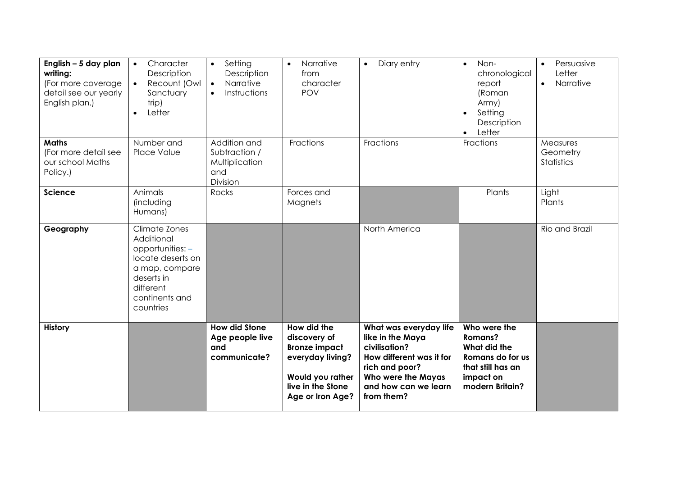| English - 5 day plan<br>writing:<br>(For more coverage<br>detail see our yearly<br>English plan.) | Character<br>$\bullet$<br>Description<br>Recount (Owl<br>$\bullet$<br>Sanctuary<br>trip)<br>Letter<br>$\bullet$                                  | Setting<br>$\bullet$<br>Description<br>Narrative<br>$\bullet$<br>Instructions<br>$\bullet$ | Narrative<br>$\bullet$<br>from<br>character<br><b>POV</b>                                                                            | Diary entry<br>$\bullet$                                                                                                                                              | Non-<br>$\bullet$<br>chronological<br>report<br>(Roman<br>Army)<br>Setting<br>$\bullet$<br>Description<br>Letter<br>$\bullet$ | Persuasive<br>$\bullet$<br>Letter<br>Narrative<br>$\bullet$ |
|---------------------------------------------------------------------------------------------------|--------------------------------------------------------------------------------------------------------------------------------------------------|--------------------------------------------------------------------------------------------|--------------------------------------------------------------------------------------------------------------------------------------|-----------------------------------------------------------------------------------------------------------------------------------------------------------------------|-------------------------------------------------------------------------------------------------------------------------------|-------------------------------------------------------------|
| <b>Maths</b><br>(For more detail see<br>our school Maths<br>Policy.)                              | Number and<br>Place Value                                                                                                                        | Addition and<br>Subtraction /<br>Multiplication<br>and<br>Division                         | Fractions                                                                                                                            | Fractions                                                                                                                                                             | Fractions                                                                                                                     | Measures<br>Geometry<br><b>Statistics</b>                   |
| <b>Science</b>                                                                                    | Animals<br>(including<br>Humans)                                                                                                                 | Rocks                                                                                      | Forces and<br>Magnets                                                                                                                |                                                                                                                                                                       | Plants                                                                                                                        | Light<br>Plants                                             |
| Geography                                                                                         | Climate Zones<br>Additional<br>opportunities: -<br>locate deserts on<br>a map, compare<br>deserts in<br>different<br>continents and<br>countries |                                                                                            |                                                                                                                                      | North America                                                                                                                                                         |                                                                                                                               | Rio and Brazil                                              |
| <b>History</b>                                                                                    |                                                                                                                                                  | <b>How did Stone</b><br>Age people live<br>and<br>communicate?                             | How did the<br>discovery of<br><b>Bronze impact</b><br>everyday living?<br>Would you rather<br>live in the Stone<br>Age or Iron Age? | What was everyday life<br>like in the Maya<br>civilisation?<br>How different was it for<br>rich and poor?<br>Who were the Mayas<br>and how can we learn<br>from them? | Who were the<br>Romans?<br>What did the<br>Romans do for us<br>that still has an<br>impact on<br>modern Britain?              |                                                             |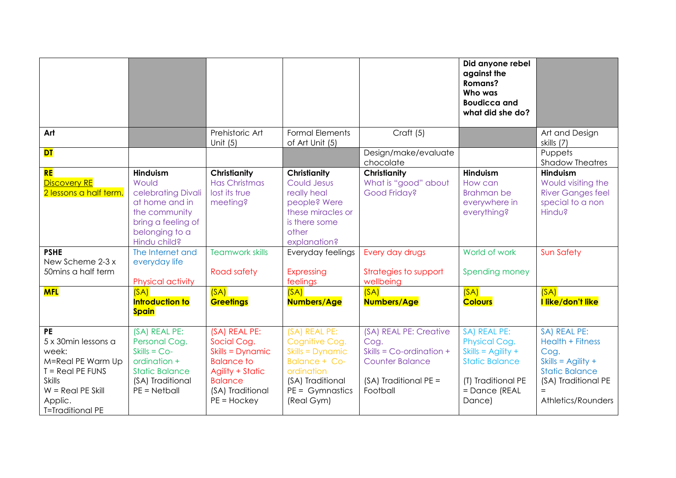|                                                                                                                                                                    |                                                                                                                                           |                                                                                                                                                         |                                                                                                                                                  |                                                                                                                              | Did anyone rebel<br>against the<br>Romans?<br>Who was<br><b>Boudicca and</b><br>what did she do?                                       |                                                                                                                                                      |
|--------------------------------------------------------------------------------------------------------------------------------------------------------------------|-------------------------------------------------------------------------------------------------------------------------------------------|---------------------------------------------------------------------------------------------------------------------------------------------------------|--------------------------------------------------------------------------------------------------------------------------------------------------|------------------------------------------------------------------------------------------------------------------------------|----------------------------------------------------------------------------------------------------------------------------------------|------------------------------------------------------------------------------------------------------------------------------------------------------|
| Art                                                                                                                                                                |                                                                                                                                           | Prehistoric Art<br>Unit $(5)$                                                                                                                           | <b>Formal Elements</b><br>of Art Unit (5)                                                                                                        | Craft (5)                                                                                                                    |                                                                                                                                        | Art and Design<br>skills (7)                                                                                                                         |
| <b>DT</b>                                                                                                                                                          |                                                                                                                                           |                                                                                                                                                         |                                                                                                                                                  | Design/make/evaluate<br>chocolate                                                                                            |                                                                                                                                        | Puppets<br><b>Shadow Theatres</b>                                                                                                                    |
| <b>RE</b><br><b>Discovery RE</b><br>2 lessons a half term.                                                                                                         | <b>Hinduism</b><br>Would<br>celebrating Divali<br>at home and in<br>the community<br>bring a feeling of<br>belonging to a<br>Hindu child? | <b>Christianity</b><br><b>Has Christmas</b><br>lost its true<br>meeting?                                                                                | <b>Christianity</b><br>Could Jesus<br>really heal<br>people? Were<br>these miracles or<br>is there some<br>other<br>explanation?                 | <b>Christianity</b><br>What is "good" about<br>Good Friday?                                                                  | <b>Hinduism</b><br>How can<br><b>Brahman be</b><br>everywhere in<br>everything?                                                        | <b>Hinduism</b><br>Would visiting the<br><b>River Ganges feel</b><br>special to a non<br>Hindu?                                                      |
| <b>PSHE</b><br>New Scheme 2-3 x<br>50mins a half term                                                                                                              | The Internet and<br>everyday life<br>Physical activity                                                                                    | <b>Teamwork skills</b><br><b>Road safety</b>                                                                                                            | Everyday feelings<br>Expressing<br>feelings                                                                                                      | Every day drugs<br>Strategies to support<br>wellbeing                                                                        | World of work<br>Spending money                                                                                                        | <b>Sun Safety</b>                                                                                                                                    |
| <b>MFL</b>                                                                                                                                                         | (SA)<br><b>Introduction to</b><br><b>Spain</b>                                                                                            | (SA)<br><b>Greetings</b>                                                                                                                                | (SA)<br><b>Numbers/Age</b>                                                                                                                       | (SA)<br>Numbers/Age                                                                                                          | (SA)<br><b>Colours</b>                                                                                                                 | (SA)<br>I like/don't like                                                                                                                            |
| <b>PE</b><br>5 x 30min lessons a<br>week:<br>M=Real PE Warm Up<br>$T = Real PE$ FUNS<br><b>Skills</b><br>$W = Real PE$ Skill<br>Applic.<br><b>T=Traditional PE</b> | (SA) REAL PE:<br>Personal Cog.<br>$Skills = Co-$<br>ordination +<br><b>Static Balance</b><br>(SA) Traditional<br>$PE = Netball$           | (SA) REAL PE:<br>Social Cog.<br>Skills = Dynamic<br><b>Balance to</b><br><b>Agility + Static</b><br><b>Balance</b><br>(SA) Traditional<br>$PE = Hockey$ | (SA) REAL PE:<br>Cognitive Cog.<br>Skills = Dynamic<br><b>Balance + Co-</b><br>ordination<br>(SA) Traditional<br>$PE = Gymnastics$<br>(Real Gym) | (SA) REAL PE: Creative<br>Cog.<br>Skills = $Co$ -ordination +<br><b>Counter Balance</b><br>(SA) Traditional PE =<br>Football | SA) REAL PE:<br>Physical Cog.<br>Skills = $\text{Agility} +$<br><b>Static Balance</b><br>(T) Traditional PE<br>= Dance (REAL<br>Dance) | SA) REAL PE:<br>Health + Fitness<br>Cog.<br>Skills = $\text{Agility}$ +<br><b>Static Balance</b><br>(SA) Traditional PE<br>$=$<br>Athletics/Rounders |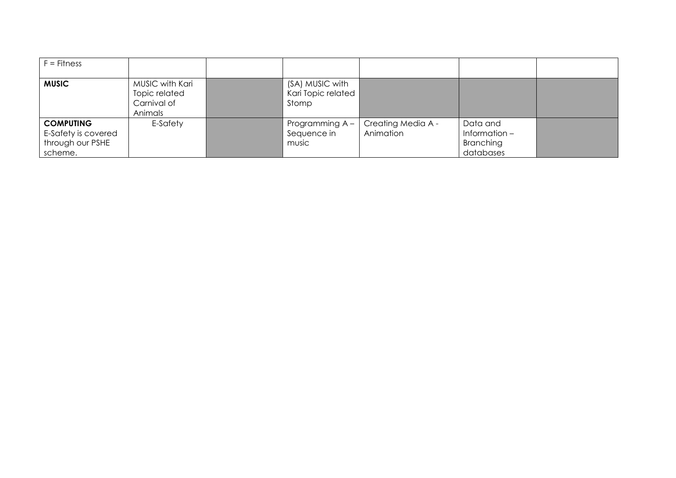| $F =$ Fitness                                                          |                                                            |                                                |                                 |                                                       |  |
|------------------------------------------------------------------------|------------------------------------------------------------|------------------------------------------------|---------------------------------|-------------------------------------------------------|--|
| <b>MUSIC</b>                                                           | MUSIC with Kari<br>Topic related<br>Carnival of<br>Animals | (SA) MUSIC with<br>Kari Topic related<br>Stomp |                                 |                                                       |  |
| <b>COMPUTING</b><br>E-Safety is covered<br>through our PSHE<br>scheme. | E-Safety                                                   | Programming A -<br>Sequence in<br>music        | Creating Media A -<br>Animation | Data and<br>Information $-$<br>Branching<br>databases |  |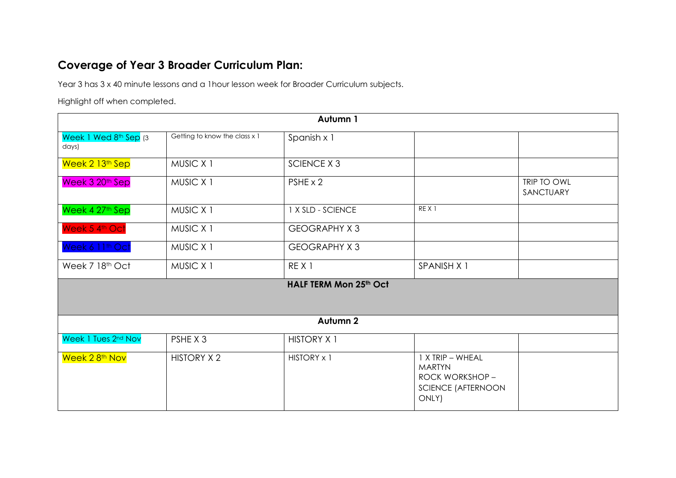## **Coverage of Year 3 Broader Curriculum Plan:**

Year 3 has 3 x 40 minute lessons and a 1hour lesson week for Broader Curriculum subjects.

Highlight off when completed.

|                                |                               | Autumn 1               |                                                                                            |                          |
|--------------------------------|-------------------------------|------------------------|--------------------------------------------------------------------------------------------|--------------------------|
| Week 1 Wed 8th Sep (3<br>days) | Getting to know the class x 1 | Spanish x 1            |                                                                                            |                          |
| Week 2 13 <sup>th</sup> Sep    | MUSIC X 1                     | <b>SCIENCE X 3</b>     |                                                                                            |                          |
| Week 3 20th Sep                | MUSIC X 1                     | PSHE x 2               |                                                                                            | TRIP TO OWL<br>SANCTUARY |
| Week 4 27th Sep                | MUSIC X 1                     | 1 X SLD - SCIENCE      | REX <sub>1</sub>                                                                           |                          |
| Week 5 4th Oct                 | MUSIC X 1                     | <b>GEOGRAPHY X3</b>    |                                                                                            |                          |
| Week 6 11th Oct                | MUSIC X 1                     | <b>GEOGRAPHY X3</b>    |                                                                                            |                          |
| Week 7 18th Oct                | MUSIC X 1                     | REX <sub>1</sub>       | SPANISH X 1                                                                                |                          |
|                                |                               | HALF TERM Mon 25th Oct |                                                                                            |                          |
|                                |                               | Autumn 2               |                                                                                            |                          |
| Week 1 Tues 2nd Nov            | PSHE X 3                      | <b>HISTORY X 1</b>     |                                                                                            |                          |
| Week 2 8 <sup>th</sup> Nov     | <b>HISTORY X 2</b>            | HISTORY x 1            | 1 X TRIP - WHEAL<br><b>MARTYN</b><br>ROCK WORKSHOP -<br><b>SCIENCE (AFTERNOON</b><br>ONLY) |                          |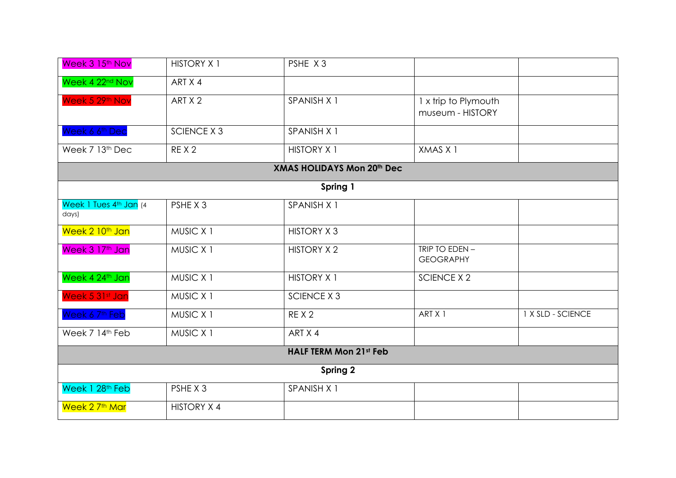| Week 3 15th Nov                           | <b>HISTORY X 1</b> | PSHE X3                           |                                          |                   |
|-------------------------------------------|--------------------|-----------------------------------|------------------------------------------|-------------------|
| Week 4 22 <sup>nd</sup> Nov               | ART X 4            |                                   |                                          |                   |
| Week 5 29th Nov                           | ART X 2            | SPANISH X 1                       | 1 x trip to Plymouth<br>museum - HISTORY |                   |
| Week 6 6 <sup>th</sup> Dec                | <b>SCIENCE X 3</b> | SPANISH X 1                       |                                          |                   |
| Week 7 13th Dec                           | REX <sub>2</sub>   | <b>HISTORY X 1</b>                | XMAS X 1                                 |                   |
|                                           |                    | <b>XMAS HOLIDAYS Mon 20th Dec</b> |                                          |                   |
|                                           |                    | Spring 1                          |                                          |                   |
| Week 1 Tues 4th Jan (4<br>$\frac{days}{}$ | PSHE X 3           | SPANISH X 1                       |                                          |                   |
| Week 2 10 <sup>th</sup> Jan               | MUSIC X 1          | <b>HISTORY X3</b>                 |                                          |                   |
| Week 3 17th Jan                           | MUSIC X 1          | <b>HISTORY X 2</b>                | TRIP TO EDEN -<br><b>GEOGRAPHY</b>       |                   |
| Week 4 24th Jan                           | MUSIC X 1          | <b>HISTORY X 1</b>                | <b>SCIENCE X 2</b>                       |                   |
| Week 5 31st Jan                           | MUSIC X 1          | <b>SCIENCE X 3</b>                |                                          |                   |
| Week 6 7 <sup>th</sup> Feb                | MUSIC X 1          | REX <sub>2</sub>                  | ART X 1                                  | 1 X SLD - SCIENCE |
| Week 7 14th Feb                           | MUSIC X 1          | ART X 4                           |                                          |                   |
|                                           |                    | <b>HALF TERM Mon 21st Feb</b>     |                                          |                   |
|                                           |                    | Spring 2                          |                                          |                   |
| Week 1 28 <sup>th</sup> Feb               | PSHE X 3           | SPANISH X 1                       |                                          |                   |
| Week 2 7 <sup>th</sup> Mar                | <b>HISTORY X 4</b> |                                   |                                          |                   |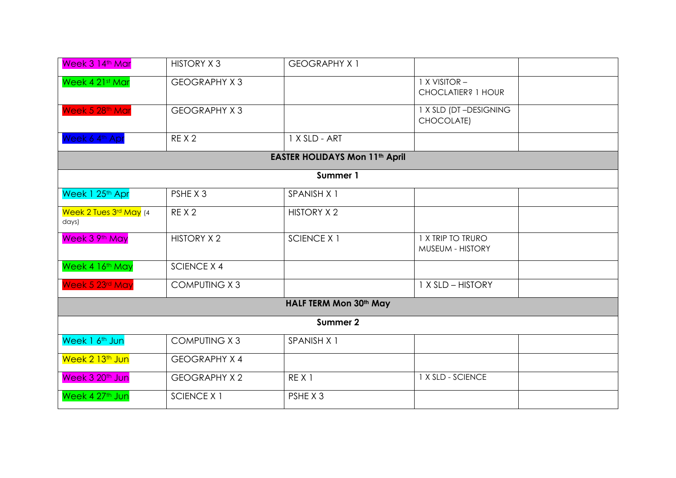| Week 3 14th Mar                 | <b>HISTORY X3</b>    | <b>GEOGRAPHY X 1</b>                  |                                       |  |
|---------------------------------|----------------------|---------------------------------------|---------------------------------------|--|
| Week 4 21st Mar                 | <b>GEOGRAPHY X3</b>  |                                       | 1 X VISITOR -<br>CHOCLATIER? 1 HOUR   |  |
| Week 5 28th Mar                 | <b>GEOGRAPHY X3</b>  |                                       | 1 X SLD (DT-DESIGNING<br>CHOCOLATE)   |  |
| Week 6 4th Apr                  | REX <sub>2</sub>     | 1 X SLD - ART                         |                                       |  |
|                                 |                      | <b>EASTER HOLIDAYS Mon 11th April</b> |                                       |  |
|                                 |                      | Summer 1                              |                                       |  |
| Week 1 25th Apr                 | PSHE X 3             | SPANISH X 1                           |                                       |  |
| Week 2 Tues 3rd May (4<br>days) | REX <sub>2</sub>     | <b>HISTORY X 2</b>                    |                                       |  |
| Week 3 9th May                  | <b>HISTORY X 2</b>   | <b>SCIENCE X 1</b>                    | 1 X TRIP TO TRURO<br>MUSEUM - HISTORY |  |
| Week 4 16th May                 | <b>SCIENCE X 4</b>   |                                       |                                       |  |
| Week 5 23rd May                 | <b>COMPUTING X3</b>  |                                       | 1 X SLD - HISTORY                     |  |
|                                 |                      | HALF TERM Mon 30th May                |                                       |  |
|                                 |                      | Summer 2                              |                                       |  |
| Week 1 6 <sup>th</sup> Jun      | <b>COMPUTING X3</b>  | SPANISH X 1                           |                                       |  |
| Week 2 13 <sup>th</sup> Jun     | <b>GEOGRAPHY X 4</b> |                                       |                                       |  |
| Week 3 20 <sup>th</sup> Jun     | <b>GEOGRAPHY X 2</b> | REX <sub>1</sub>                      | 1 X SLD - SCIENCE                     |  |
| Week 4 27th Jun                 | <b>SCIENCE X 1</b>   | PSHE X 3                              |                                       |  |